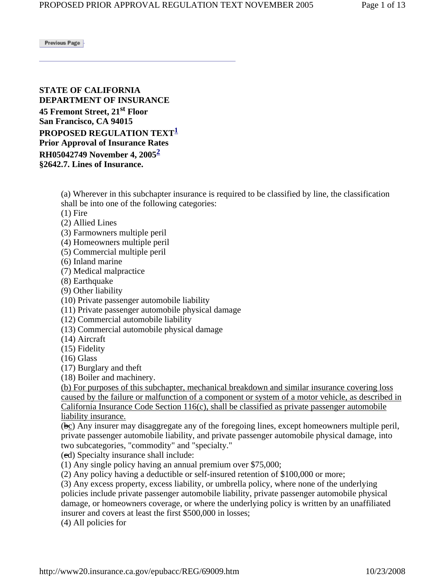Previous Page

**STATE OF CALIFORNIA DEPARTMENT OF INSURANCE 45 Fremont Street, 21st Floor San Francisco, CA 94015 PROPOSED REGULATION TEXT<sup>1</sup> Prior Approval of Insurance Rates RH05042749 November 4, 20052 §2642.7. Lines of Insurance.** 

> (a) Wherever in this subchapter insurance is required to be classified by line, the classification shall be into one of the following categories:

 $(1)$  Fire

- (2) Allied Lines
- (3) Farmowners multiple peril
- (4) Homeowners multiple peril
- (5) Commercial multiple peril
- (6) Inland marine

(7) Medical malpractice

(8) Earthquake

(9) Other liability

(10) Private passenger automobile liability

(11) Private passenger automobile physical damage

(12) Commercial automobile liability

(13) Commercial automobile physical damage

(14) Aircraft

(15) Fidelity

(16) Glass

(17) Burglary and theft

(18) Boiler and machinery.

(b) For purposes of this subchapter, mechanical breakdown and similar insurance covering loss caused by the failure or malfunction of a component or system of a motor vehicle, as described in California Insurance Code Section 116(c), shall be classified as private passenger automobile liability insurance.

 $(bc)$  Any insurer may disaggregate any of the foregoing lines, except homeowners multiple peril, private passenger automobile liability, and private passenger automobile physical damage, into two subcategories, "commodity" and "specialty."

(cd) Specialty insurance shall include:

(1) Any single policy having an annual premium over \$75,000;

(2) Any policy having a deductible or self-insured retention of \$100,000 or more;

(3) Any excess property, excess liability, or umbrella policy, where none of the underlying policies include private passenger automobile liability, private passenger automobile physical damage, or homeowners coverage, or where the underlying policy is written by an unaffiliated insurer and covers at least the first \$500,000 in losses;

(4) All policies for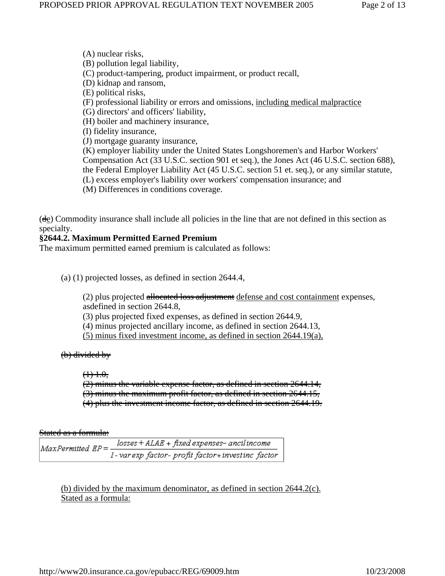(A) nuclear risks, (B) pollution legal liability, (C) product-tampering, product impairment, or product recall, (D) kidnap and ransom, (E) political risks, (F) professional liability or errors and omissions, including medical malpractice (G) directors' and officers' liability, (H) boiler and machinery insurance, (I) fidelity insurance, (J) mortgage guaranty insurance, (K) employer liability under the United States Longshoremen's and Harbor Workers' Compensation Act (33 U.S.C. section 901 et seq.), the Jones Act (46 U.S.C. section 688), the Federal Employer Liability Act (45 U.S.C. section 51 et. seq.), or any similar statute, (L) excess employer's liability over workers' compensation insurance; and (M) Differences in conditions coverage.

(de) Commodity insurance shall include all policies in the line that are not defined in this section as specialty.

### **§2644.2. Maximum Permitted Earned Premium**

The maximum permitted earned premium is calculated as follows:

(a) (1) projected losses, as defined in section 2644.4,

(2) plus projected allocated loss adjustment defense and cost containment expenses, asdefined in section 2644.8,

(3) plus projected fixed expenses, as defined in section 2644.9,

(4) minus projected ancillary income, as defined in section 2644.13,

(5) minus fixed investment income, as defined in section 2644.19(a),

#### (b) divided by

#### $$

(2) minus the variable expense factor, as defined in section 2644.14, (3) minus the maximum profit factor, as defined in section 2644.15, (4) plus the investment income factor, as defined in section 2644.19.

#### Stated as a formula:

 $losses + ALAE + fixed$  expenses-ancilincome  $MaxPermitted$   $EP = -$ 1-varexp factor- profit factor+investinc factor

(b) divided by the maximum denominator, as defined in section 2644.2(c). Stated as a formula: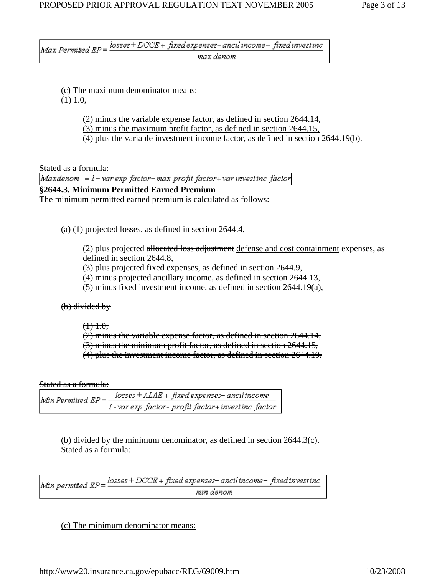$Max\ Permitted\ EP = \frac{losses+DCCE+fixed\ expenses-ancil\ income-fixed\ investment}{1}$ max denom

(c) The maximum denominator means: (1) 1.0,

> (2) minus the variable expense factor, as defined in section 2644.14, (3) minus the maximum profit factor, as defined in section 2644.15, (4) plus the variable investment income factor, as defined in section 2644.19(b).

Stated as a formula:<br>Maxdenom = l – var exp factor–max profit factor+ var investinc factor

**§2644.3. Minimum Permitted Earned Premium** The minimum permitted earned premium is calculated as follows:

(a) (1) projected losses, as defined in section 2644.4,

(2) plus projected allocated loss adjustment defense and cost containment expenses, as defined in section 2644.8,

(3) plus projected fixed expenses, as defined in section 2644.9,

(4) minus projected ancillary income, as defined in section 2644.13,

(5) minus fixed investment income, as defined in section 2644.19(a),

(b) divided by

 $~~(1)~~ 1.0,$ </del>

(2) minus the variable expense factor, as defined in section 2644.14, (3) minus the minimum profit factor, as defined in section 2644.15, (4) plus the investment income factor, as defined in section 2644.19.

Stated as a formula:

 $losses + ALAE + fixed$  expenses– ancilincome  $Min$  Permitted  $EP =$ I-var exp factor- profit factor+investinc factor

(b) divided by the minimum denominator, as defined in section 2644.3(c). Stated as a formula:

Min permitted  $EP = \frac{losses + DCCE + fixed$  expenses-ancilincome-fixed investinc min denom

(c) The minimum denominator means: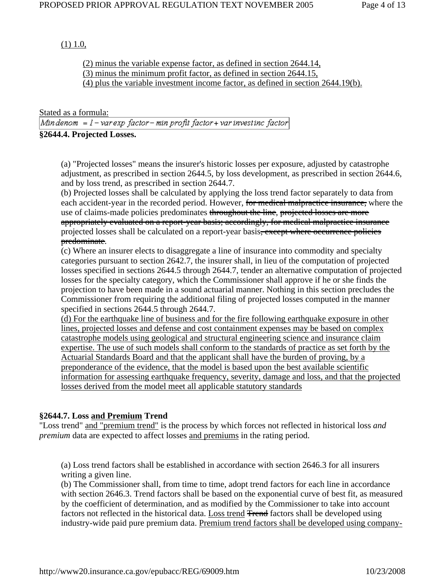# $(1)$  1.0,

(2) minus the variable expense factor, as defined in section 2644.14, (3) minus the minimum profit factor, as defined in section 2644.15, (4) plus the variable investment income factor, as defined in section 2644.19(b).

Stated as a formula:<br>Mindenom = l – varexp factor– min profit factor+ var investinc factor **§2644.4. Projected Losses.**

(a) "Projected losses" means the insurer's historic losses per exposure, adjusted by catastrophe adjustment, as prescribed in section 2644.5, by loss development, as prescribed in section 2644.6, and by loss trend, as prescribed in section 2644.7.

(b) Projected losses shall be calculated by applying the loss trend factor separately to data from each accident-year in the recorded period. However, for medical malpractice insurance, where the use of claims-made policies predominates throughout the line, projected losses are more appropriately evaluated on a report-year basis; accordingly, for medical malpractice insurance projected losses shall be calculated on a report-year basis, except where occurrence policies predominate.

(c) Where an insurer elects to disaggregate a line of insurance into commodity and specialty categories pursuant to section 2642.7, the insurer shall, in lieu of the computation of projected losses specified in sections 2644.5 through 2644.7, tender an alternative computation of projected losses for the specialty category, which the Commissioner shall approve if he or she finds the projection to have been made in a sound actuarial manner. Nothing in this section precludes the Commissioner from requiring the additional filing of projected losses computed in the manner specified in sections 2644.5 through 2644.7.

(d) For the earthquake line of business and for the fire following earthquake exposure in other lines, projected losses and defense and cost containment expenses may be based on complex catastrophe models using geological and structural engineering science and insurance claim expertise. The use of such models shall conform to the standards of practice as set forth by the Actuarial Standards Board and that the applicant shall have the burden of proving, by a preponderance of the evidence, that the model is based upon the best available scientific information for assessing earthquake frequency, severity, damage and loss, and that the projected losses derived from the model meet all applicable statutory standards

# **§2644.7. Loss and Premium Trend**

"Loss trend" and "premium trend" is the process by which forces not reflected in historical loss *and premium* data are expected to affect losses and premiums in the rating period.

(a) Loss trend factors shall be established in accordance with section 2646.3 for all insurers writing a given line.

(b) The Commissioner shall, from time to time, adopt trend factors for each line in accordance with section 2646.3. Trend factors shall be based on the exponential curve of best fit, as measured by the coefficient of determination, and as modified by the Commissioner to take into account factors not reflected in the historical data. Loss trend Frend factors shall be developed using industry-wide paid pure premium data. Premium trend factors shall be developed using company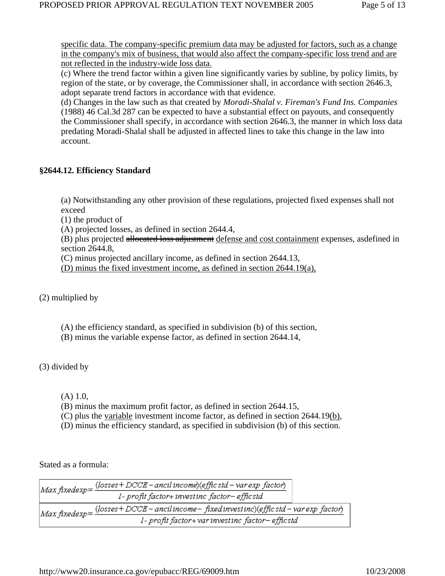specific data. The company-specific premium data may be adjusted for factors, such as a change in the company's mix of business, that would also affect the company-specific loss trend and are not reflected in the industry-wide loss data.

(c) Where the trend factor within a given line significantly varies by subline, by policy limits, by region of the state, or by coverage, the Commissioner shall, in accordance with section 2646.3, adopt separate trend factors in accordance with that evidence.

(d) Changes in the law such as that created by *Moradi-Shalal v. Fireman's Fund Ins. Companies* (1988) 46 Cal.3d 287 can be expected to have a substantial effect on payouts, and consequently the Commissioner shall specify, in accordance with section 2646.3, the manner in which loss data predating Moradi-Shalal shall be adjusted in affected lines to take this change in the law into account.

# **§2644.12. Efficiency Standard**

(a) Notwithstanding any other provision of these regulations, projected fixed expenses shall not exceed

(1) the product of

(A) projected losses, as defined in section 2644.4,

(B) plus projected allocated loss adjustment defense and cost containment expenses, asdefined in section 2644.8,

(C) minus projected ancillary income, as defined in section 2644.13,

(D) minus the fixed investment income, as defined in section 2644.19(a),

(2) multiplied by

(A) the efficiency standard, as specified in subdivision (b) of this section,

(B) minus the variable expense factor, as defined in section 2644.14,

(3) divided by

(A) 1.0,

(B) minus the maximum profit factor, as defined in section 2644.15,

(C) plus the variable investment income factor, as defined in section 2644.19(b),

(D) minus the efficiency standard, as specified in subdivision (b) of this section.

Stated as a formula:

|  | Max fixedexp= $\frac{(losses+DCCE - ancil\ income) (efflc\ std - var\ exp\ factor)}{}$      |  |
|--|---------------------------------------------------------------------------------------------|--|
|  | 1- profit factor+ investinc factor- efficstd                                                |  |
|  | Max fixedexp = $\frac{(losses+DCCE-ancilincome-fixedinvestinc)(effic std-varexp factor)}{}$ |  |
|  | 1- profit factor+ var investinc factor- efficstd                                            |  |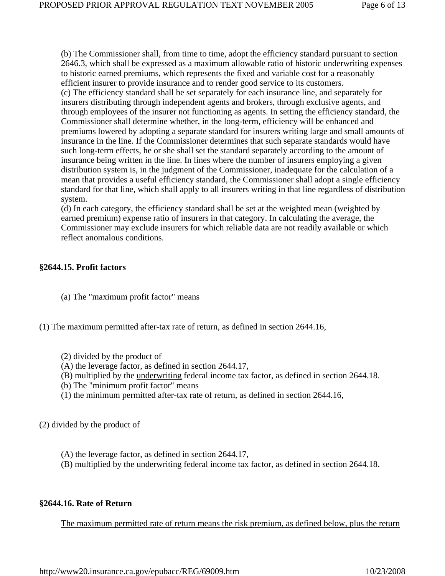(b) The Commissioner shall, from time to time, adopt the efficiency standard pursuant to section 2646.3, which shall be expressed as a maximum allowable ratio of historic underwriting expenses to historic earned premiums, which represents the fixed and variable cost for a reasonably efficient insurer to provide insurance and to render good service to its customers. (c) The efficiency standard shall be set separately for each insurance line, and separately for insurers distributing through independent agents and brokers, through exclusive agents, and through employees of the insurer not functioning as agents. In setting the efficiency standard, the Commissioner shall determine whether, in the long-term, efficiency will be enhanced and premiums lowered by adopting a separate standard for insurers writing large and small amounts of insurance in the line. If the Commissioner determines that such separate standards would have such long-term effects, he or she shall set the standard separately according to the amount of insurance being written in the line. In lines where the number of insurers employing a given distribution system is, in the judgment of the Commissioner, inadequate for the calculation of a mean that provides a useful efficiency standard, the Commissioner shall adopt a single efficiency standard for that line, which shall apply to all insurers writing in that line regardless of distribution system.

(d) In each category, the efficiency standard shall be set at the weighted mean (weighted by earned premium) expense ratio of insurers in that category. In calculating the average, the Commissioner may exclude insurers for which reliable data are not readily available or which reflect anomalous conditions.

### **§2644.15. Profit factors**

- (a) The "maximum profit factor" means
- (1) The maximum permitted after-tax rate of return, as defined in section 2644.16,
	- (2) divided by the product of
	- (A) the leverage factor, as defined in section 2644.17,
	- (B) multiplied by the underwriting federal income tax factor, as defined in section 2644.18.
	- (b) The "minimum profit factor" means
	- (1) the minimum permitted after-tax rate of return, as defined in section 2644.16,

(2) divided by the product of

- (A) the leverage factor, as defined in section 2644.17,
- (B) multiplied by the underwriting federal income tax factor, as defined in section 2644.18.

#### **§2644.16. Rate of Return**

The maximum permitted rate of return means the risk premium, as defined below, plus the return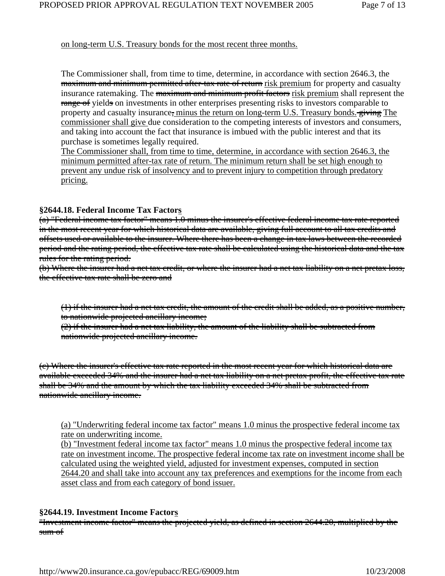### on long-term U.S. Treasury bonds for the most recent three months.

The Commissioner shall, from time to time, determine, in accordance with section 2646.3, the maximum and minimum permitted after-tax rate of return risk premium for property and casualty insurance ratemaking. The maximum and minimum profit factors risk premium shall represent the range of yields on investments in other enterprises presenting risks to investors comparable to property and casualty insurance, minus the return on long-term U.S. Treasury bonds. giving The commissioner shall give due consideration to the competing interests of investors and consumers, and taking into account the fact that insurance is imbued with the public interest and that its purchase is sometimes legally required.

The Commissioner shall, from time to time, determine, in accordance with section 2646.3, the minimum permitted after-tax rate of return. The minimum return shall be set high enough to prevent any undue risk of insolvency and to prevent injury to competition through predatory pricing.

### **§2644.18. Federal Income Tax Factors**

(a) "Federal income tax factor" means 1.0 minus the insurer's effective federal income tax rate reported in the most recent year for which historical data are available, giving full account to all tax credits and offsets used or available to the insurer. Where there has been a change in tax laws between the recorded period and the rating period, the effective tax rate shall be calculated using the historical data and the tax rules for the rating period.

(b) Where the insurer had a net tax credit, or where the insurer had a net tax liability on a net pretax loss, the effective tax rate shall be zero and

(1) if the insurer had a net tax credit, the amount of the credit shall be added, as a positive number, to nationwide projected ancillary income;

(2) if the insurer had a net tax liability, the amount of the liability shall be subtracted from nationwide projected ancillary income.

(c) Where the insurer's effective tax rate reported in the most recent year for which historical data are available exceeded 34% and the insurer had a net tax liability on a net pretax profit, the effective tax rate shall be 34% and the amount by which the tax liability exceeded 34% shall be subtracted from nationwide ancillary income.

(a) "Underwriting federal income tax factor" means 1.0 minus the prospective federal income tax rate on underwriting income.

(b) "Investment federal income tax factor" means 1.0 minus the prospective federal income tax rate on investment income. The prospective federal income tax rate on investment income shall be calculated using the weighted yield, adjusted for investment expenses, computed in section 2644.20 and shall take into account any tax preferences and exemptions for the income from each asset class and from each category of bond issuer.

# **§2644.19. Investment Income Factors**

"Investment income factor" means the projected yield, as defined in section 2644.20, multiplied by the sum of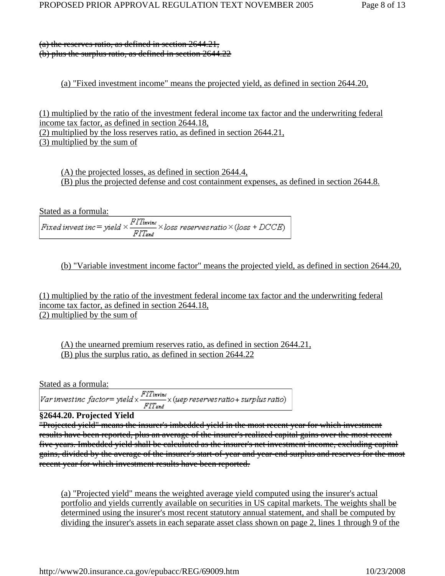(a) the reserves ratio, as defined in section 2644.21, (b) plus the surplus ratio, as defined in section 2644.22

# (a) "Fixed investment income" means the projected yield, as defined in section 2644.20,

(1) multiplied by the ratio of the investment federal income tax factor and the underwriting federal income tax factor, as defined in section 2644.18, (2) multiplied by the loss reserves ratio, as defined in section 2644.21, (3) multiplied by the sum of

(A) the projected losses, as defined in section 2644.4, (B) plus the projected defense and cost containment expenses, as defined in section 2644.8.

Stated as a formula:<br>Fixed invest inc = yield  $\times \frac{FIT_{\text{in指}}}{FIT_{\text{und}}} \times loss$  reserves ratio  $\times (loss + DCCE)$ 

(b) "Variable investment income factor" means the projected yield, as defined in section 2644.20,

(1) multiplied by the ratio of the investment federal income tax factor and the underwriting federal income tax factor, as defined in section 2644.18, (2) multiplied by the sum of

(A) the unearned premium reserves ratio, as defined in section 2644.21, (B) plus the surplus ratio, as defined in section 2644.22

Stated as a formula:

# **§2644.20. Projected Yield**

"Projected yield" means the insurer's imbedded yield in the most recent year for which investment results have been reported, plus an average of the insurer's realized capital gains over the most recent five years. Imbedded yield shall be calculated as the insurer's net investment income, excluding capital gains, divided by the average of the insurer's start-of-year and year-end surplus and reserves for the most recent year for which investment results have been reported.

(a) "Projected yield" means the weighted average yield computed using the insurer's actual portfolio and yields currently available on securities in US capital markets. The weights shall be determined using the insurer's most recent statutory annual statement, and shall be computed by dividing the insurer's assets in each separate asset class shown on page 2, lines 1 through 9 of the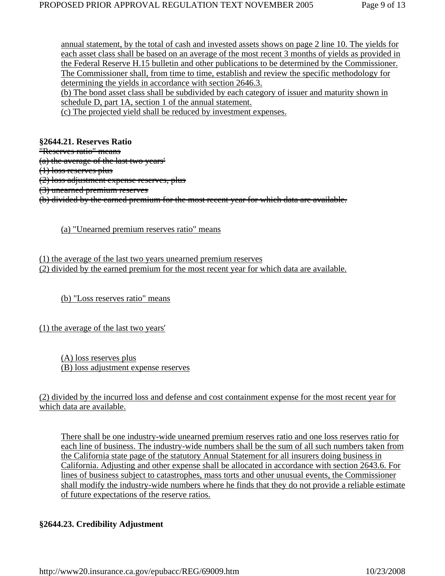annual statement, by the total of cash and invested assets shows on page 2 line 10. The yields for each asset class shall be based on an average of the most recent 3 months of yields as provided in the Federal Reserve H.15 bulletin and other publications to be determined by the Commissioner. The Commissioner shall, from time to time, establish and review the specific methodology for determining the yields in accordance with section 2646.3.

(b) The bond asset class shall be subdivided by each category of issuer and maturity shown in schedule D, part 1A, section 1 of the annual statement.

(c) The projected yield shall be reduced by investment expenses.

**§2644.21. Reserves Ratio** "Reserves ratio" means (a) the average of the last two years' (1) loss reserves plus (2) loss adjustment expense reserves, plus (3) unearned premium reserves (b) divided by the earned premium for the most recent year for which data are available.

(a) "Unearned premium reserves ratio" means

(1) the average of the last two years unearned premium reserves (2) divided by the earned premium for the most recent year for which data are available.

(b) "Loss reserves ratio" means

(1) the average of the last two years'

(A) loss reserves plus (B) loss adjustment expense reserves

(2) divided by the incurred loss and defense and cost containment expense for the most recent year for which data are available.

There shall be one industry-wide unearned premium reserves ratio and one loss reserves ratio for each line of business. The industry-wide numbers shall be the sum of all such numbers taken from the California state page of the statutory Annual Statement for all insurers doing business in California. Adjusting and other expense shall be allocated in accordance with section 2643.6. For lines of business subject to catastrophes, mass torts and other unusual events, the Commissioner shall modify the industry-wide numbers where he finds that they do not provide a reliable estimate of future expectations of the reserve ratios.

# **§2644.23. Credibility Adjustment**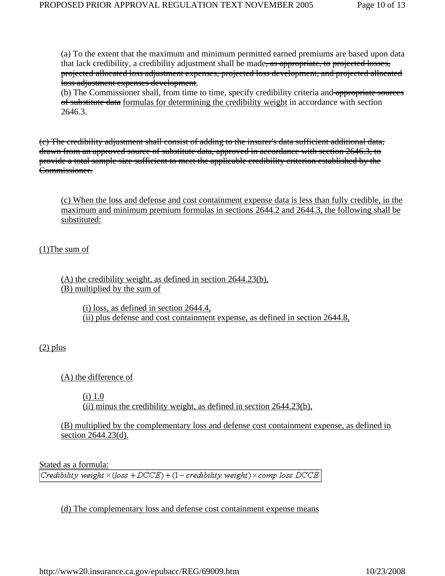(a) To the extent that the maximum and minimum permitted earned premiums are based upon data that lack credibility, a credibility adjustment shall be made, as appropriate, to projected losses, projected allocated loss adjustment expenses, projected loss development, and projected allocated loss adjustment expenses development.

(b) The Commissioner shall, from time to time, specify credibility criteria and appropriate sources of substitute data formulas for determining the credibility weight in accordance with section 2646.3.

(c) The credibility adjustment shall consist of adding to the insurer's data sufficient additional data, drawn from an approved source of substitute data, approved in accordance with section 2646.3, to provide a total sample size sufficient to meet the applicable credibility criterion established by the Commissioner.

(c) When the loss and defense and cost containment expense data is less than fully credible, in the maximum and minimum premium formulas in sections 2644.2 and 2644.3, the following shall be substituted:

(1)The sum of

(A) the credibility weight, as defined in section 2644.23(b), (B) multiplied by the sum of

> (i) loss, as defined in section 2644.4, (ii) plus defense and cost containment expense, as defined in section 2644.8,

 $(2)$  plus

(A) the difference of

(i) 1.0

(ii) minus the credibility weight, as defined in section 2644.23(b),

(B) multiplied by the complementary loss and defense cost containment expense, as defined in section 2644.23(d).

Stated as a formula:

Credibility weight  $\times$  (loss + DCCE) + (1 - credibility weight)  $\times$  comp loss DCCE

(d) The complementary loss and defense cost containment expense means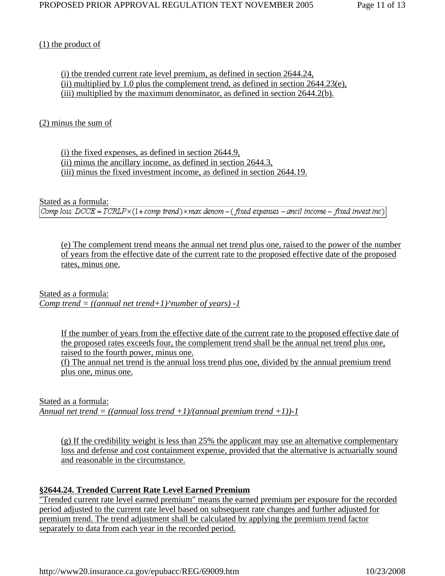# (1) the product of

(i) the trended current rate level premium, as defined in section 2644.24, (ii) multiplied by 1.0 plus the complement trend, as defined in section 2644.23(e), (iii) multiplied by the maximum denominator, as defined in section 2644.2(b).

# (2) minus the sum of

(i) the fixed expenses, as defined in section 2644.9, (ii) minus the ancillary income, as defined in section 2644.3, (iii) minus the fixed investment income, as defined in section 2644.19.

Stated as a formula:

Comp loss  $DCCE = TCRLP \times (1 + comp\ trend) \times max\ deno m - (fixed\ expenses - ancil\ income - fixed\ invest\ inc)$ 

(e) The complement trend means the annual net trend plus one, raised to the power of the number of years from the effective date of the current rate to the proposed effective date of the proposed rates, minus one.

Stated as a formula: *Comp trend = ((annual net trend+1)* $^{\circ}$ *number of years) -1* 

> If the number of years from the effective date of the current rate to the proposed effective date of the proposed rates exceeds four, the complement trend shall be the annual net trend plus one, raised to the fourth power, minus one.

(f) The annual net trend is the annual loss trend plus one, divided by the annual premium trend plus one, minus one.

Stated as a formula: *Annual net trend = ((annual loss trend +1)/(annual premium trend +1))-1*

(g) If the credibility weight is less than 25% the applicant may use an alternative complementary loss and defense and cost containment expense, provided that the alternative is actuarially sound and reasonable in the circumstance.

# **§2644.24. Trended Current Rate Level Earned Premium**

"Trended current rate level earned premium" means the earned premium per exposure for the recorded period adjusted to the current rate level based on subsequent rate changes and further adjusted for premium trend. The trend adjustment shall be calculated by applying the premium trend factor separately to data from each year in the recorded period.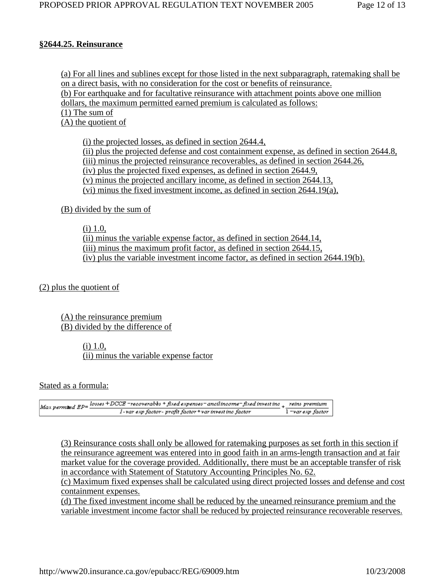### **§2644.25. Reinsurance**

(a) For all lines and sublines except for those listed in the next subparagraph, ratemaking shall be on a direct basis, with no consideration for the cost or benefits of reinsurance. (b) For earthquake and for facultative reinsurance with attachment points above one million dollars, the maximum permitted earned premium is calculated as follows: (1) The sum of (A) the quotient of

(i) the projected losses, as defined in section 2644.4, (ii) plus the projected defense and cost containment expense, as defined in section 2644.8, (iii) minus the projected reinsurance recoverables, as defined in section 2644.26, (iv) plus the projected fixed expenses, as defined in section 2644.9, (v) minus the projected ancillary income, as defined in section 2644.13, (vi) minus the fixed investment income, as defined in section 2644.19(a),

(B) divided by the sum of

 $(i)$  1.0,

(ii) minus the variable expense factor, as defined in section 2644.14, (iii) minus the maximum profit factor, as defined in section 2644.15, (iv) plus the variable investment income factor, as defined in section 2644.19(b).

(2) plus the quotient of

(A) the reinsurance premium (B) divided by the difference of

> (i) 1.0, (ii) minus the variable expense factor

Stated as a formula:

|  | $Max$ permised $EP = \frac{losss + DCCB - \text{recoveryables} + \text{fixed expressions} - \text{ancilinoomer-fixed invest} \text{inc}\_1}{\text{reins premium}}$ |                   |
|--|--------------------------------------------------------------------------------------------------------------------------------------------------------------------|-------------------|
|  | l-var exp factor- profit factor + var invest inc factor                                                                                                            | l =var exp factor |

(3) Reinsurance costs shall only be allowed for ratemaking purposes as set forth in this section if the reinsurance agreement was entered into in good faith in an arms-length transaction and at fair market value for the coverage provided. Additionally, there must be an acceptable transfer of risk in accordance with Statement of Statutory Accounting Principles No. 62.

(c) Maximum fixed expenses shall be calculated using direct projected losses and defense and cost containment expenses.

(d) The fixed investment income shall be reduced by the unearned reinsurance premium and the variable investment income factor shall be reduced by projected reinsurance recoverable reserves.